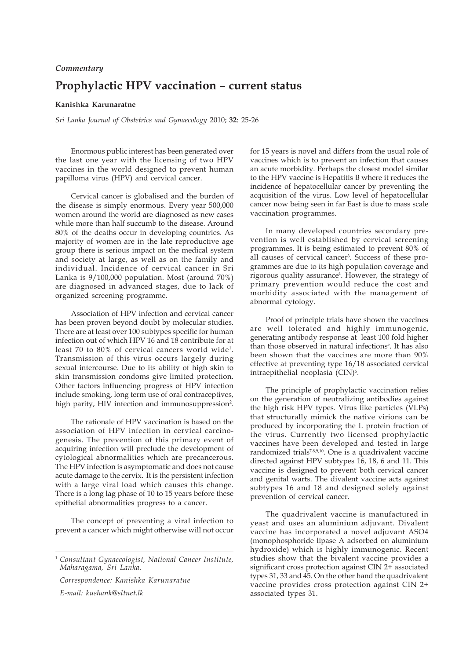## **Prophylactic HPV vaccination – current status** *Commentary*

## **Kanishka Karunaratne**

*Sri Lanka Journal of Obstetrics and Gynaecology* 2010; **32**: 25-26

Enormous public interest has been generated over the last one year with the licensing of two HPV vaccines in the world designed to prevent human papilloma virus (HPV) and cervical cancer.

Cervical cancer is globalised and the burden of the disease is simply enormous. Every year 500,000 women around the world are diagnosed as new cases while more than half succumb to the disease. Around 80% of the deaths occur in developing countries. As majority of women are in the late reproductive age group there is serious impact on the medical system and society at large, as well as on the family and individual. Incidence of cervical cancer in Sri Lanka is 9/100,000 population. Most (around 70%) are diagnosed in advanced stages, due to lack of organized screening programme.

Association of HPV infection and cervical cancer has been proven beyond doubt by molecular studies. There are at least over 100 subtypes specific for human infection out of which HPV 16 and 18 contribute for at least 70 to 80% of cervical cancers world wide1. Transmission of this virus occurs largely during sexual intercourse. Due to its ability of high skin to skin transmission condoms give limited protection. Other factors influencing progress of HPV infection include smoking, long term use of oral contraceptives, high parity, HIV infection and immunosuppression<sup>2</sup>.

The rationale of HPV vaccination is based on the association of HPV infection in cervical carcinogenesis. The prevention of this primary event of acquiring infection will preclude the development of cytological abnormalities which are precancerous. The HPV infection is asymptomatic and does not cause acute damage to the cervix. It is the persistent infection with a large viral load which causes this change. There is a long lag phase of 10 to 15 years before these epithelial abnormalities progress to a cancer.

The concept of preventing a viral infection to prevent a cancer which might otherwise will not occur

*Correspondence: Kanishka Karunaratne E-mail: kushank@sltnet.lk*

for 15 years is novel and differs from the usual role of vaccines which is to prevent an infection that causes an acute morbidity. Perhaps the closest model similar to the HPV vaccine is Hepatitis B where it reduces the incidence of hepatocellular cancer by preventing the acquisition of the virus. Low level of hepatocellular cancer now being seen in far East is due to mass scale vaccination programmes.

In many developed countries secondary prevention is well established by cervical screening programmes. It is being estimated to prevent 80% of all causes of cervical cancer<sup>3</sup>. Success of these programmes are due to its high population coverage and rigorous quality assurance<sup>4</sup>. However, the strategy of primary prevention would reduce the cost and morbidity associated with the management of abnormal cytology.

Proof of principle trials have shown the vaccines are well tolerated and highly immunogenic, generating antibody response at least 100 fold higher than those observed in natural infections<sup>5</sup>. It has also been shown that the vaccines are more than 90% effective at preventing type 16/18 associated cervical intraepithelial neoplasia (CIN)<sup>6</sup>.

The principle of prophylactic vaccination relies on the generation of neutralizing antibodies against the high risk HPV types. Virus like particles (VLPs) that structurally mimick the native virions can be produced by incorporating the L protein fraction of the virus. Currently two licensed prophylactic vaccines have been developed and tested in large randomized trials<sup>7,8,9,10</sup>. One is a quadrivalent vaccine directed against HPV subtypes 16, 18, 6 and 11. This vaccine is designed to prevent both cervical cancer and genital warts. The divalent vaccine acts against subtypes 16 and 18 and designed solely against prevention of cervical cancer.

The quadrivalent vaccine is manufactured in yeast and uses an aluminium adjuvant. Divalent vaccine has incorporated a novel adjuvant ASO4 (monophosphoride lipase A adsorbed on aluminium hydroxide) which is highly immunogenic. Recent studies show that the bivalent vaccine provides a significant cross protection against CIN 2+ associated types 31, 33 and 45. On the other hand the quadrivalent vaccine provides cross protection against CIN 2+ associated types 31.

<sup>1</sup> *Consultant Gynaecologist, National Cancer Institute, Maharagama, Sri Lanka.*